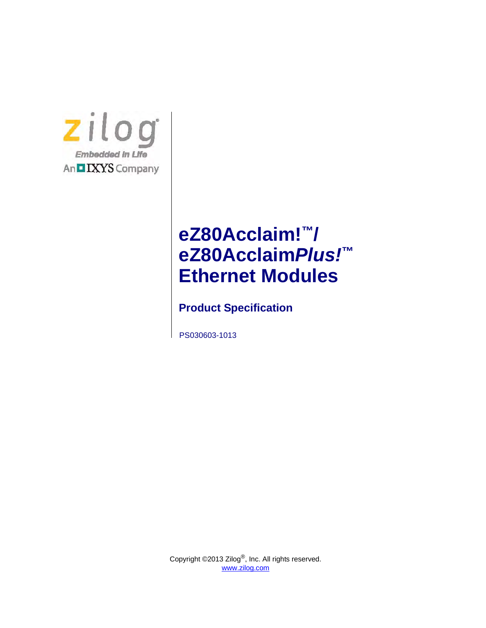

# **eZ80Acclaim!™/ eZ80Acclaim***Plus!***™ Ethernet Modules**

**Product Specification**

PS030603-1013

Copyright ©2013 Zilog<sup>®</sup>, Inc. All rights reserved. [www.zilog.com](http://www.zilog.com)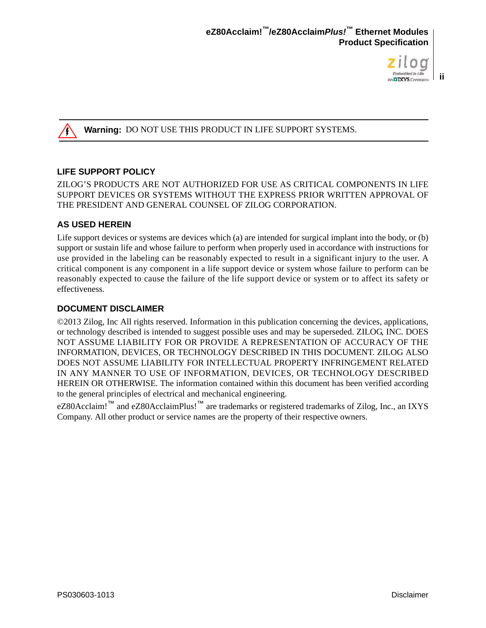

**ii**

#### Warning: DO NOT USE THIS PRODUCT IN LIFE SUPPORT SYSTEMS.

#### **LIFE SUPPORT POLICY**

ZILOG'S PRODUCTS ARE NOT AUTHORIZED FOR USE AS CRITICAL COMPONENTS IN LIFE SUPPORT DEVICES OR SYSTEMS WITHOUT THE EXPRESS PRIOR WRITTEN APPROVAL OF THE PRESIDENT AND GENERAL COUNSEL OF ZILOG CORPORATION.

#### **AS USED HEREIN**

Life support devices or systems are devices which (a) are intended for surgical implant into the body, or (b) support or sustain life and whose failure to perform when properly used in accordance with instructions for use provided in the labeling can be reasonably expected to result in a significant injury to the user. A critical component is any component in a life support device or system whose failure to perform can be reasonably expected to cause the failure of the life support device or system or to affect its safety or effectiveness.

#### **DOCUMENT DISCLAIMER**

©2013 Zilog, Inc All rights reserved. Information in this publication concerning the devices, applications, or technology described is intended to suggest possible uses and may be superseded. ZILOG, INC. DOES NOT ASSUME LIABILITY FOR OR PROVIDE A REPRESENTATION OF ACCURACY OF THE INFORMATION, DEVICES, OR TECHNOLOGY DESCRIBED IN THIS DOCUMENT. ZILOG ALSO DOES NOT ASSUME LIABILITY FOR INTELLECTUAL PROPERTY INFRINGEMENT RELATED IN ANY MANNER TO USE OF INFORMATION, DEVICES, OR TECHNOLOGY DESCRIBED HEREIN OR OTHERWISE. The information contained within this document has been verified according to the general principles of electrical and mechanical engineering.

eZ80Acclaim!<sup>™</sup> and eZ80AcclaimPlus!<sup>™</sup> are trademarks or registered trademarks of Zilog, Inc., an IXYS Company. All other product or service names are the property of their respective owners.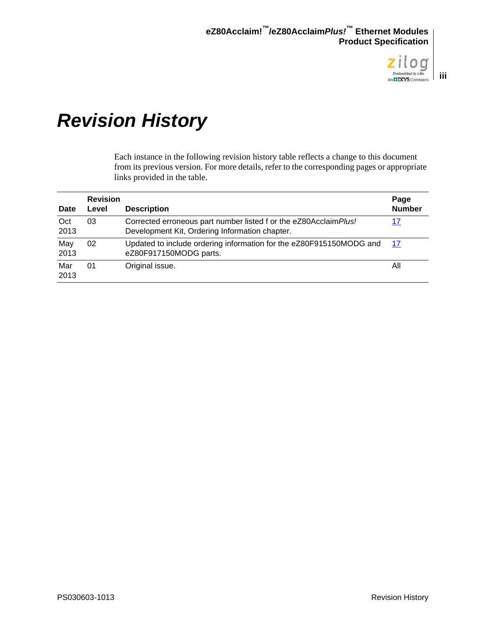

# <span id="page-2-0"></span>*Revision History*

Each instance in the following revision history table reflects a change to this document from its previous version. For more details, refer to the corresponding pages or appropriate links provided in the table.

| <b>Date</b> | <b>Revision</b><br>Level | <b>Description</b>                                                                                                  | Page<br><b>Number</b> |
|-------------|--------------------------|---------------------------------------------------------------------------------------------------------------------|-----------------------|
| Oct<br>2013 | 03                       | Corrected erroneous part number listed f or the eZ80Acclaim Plus!<br>Development Kit, Ordering Information chapter. | 17                    |
| May<br>2013 | 02                       | Updated to include ordering information for the eZ80F915150MODG and<br>eZ80F917150MODG parts.                       | 17                    |
| Mar<br>2013 | 01                       | Original issue.                                                                                                     | All                   |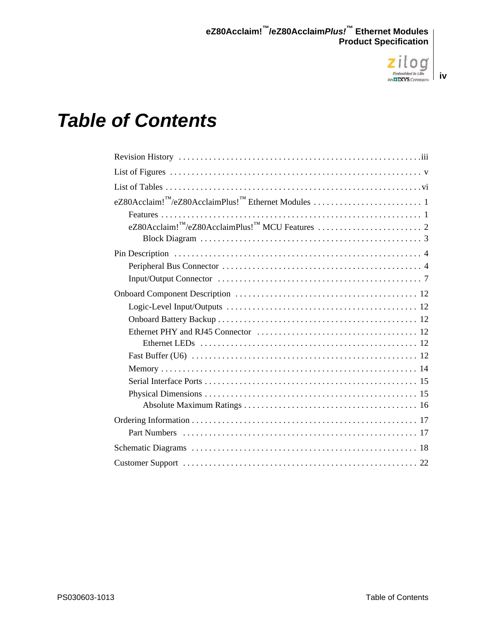

#### **iv**

# *Table of Contents*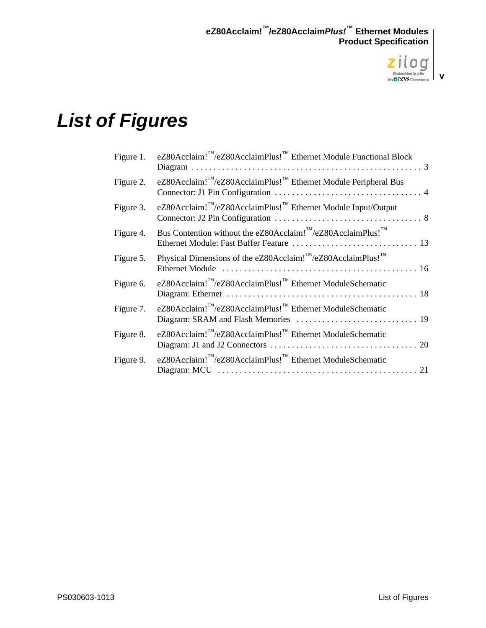

# <span id="page-4-0"></span>*List of Figures*

| Figure 1. | eZ80Acclaim! <sup>™</sup> /eZ80AcclaimPlus! <sup>™</sup> Ethernet Module Functional Block                     |
|-----------|---------------------------------------------------------------------------------------------------------------|
| Figure 2. | eZ80Acclaim! <sup>™</sup> /eZ80AcclaimPlus! <sup>™</sup> Ethernet Module Peripheral Bus                       |
| Figure 3. | eZ80Acclaim! <sup>™</sup> /eZ80AcclaimPlus! <sup>™</sup> Ethernet Module Input/Output                         |
| Figure 4. | Bus Contention without the eZ80Acclaim! <sup><math>M</math></sup> /eZ80AcclaimPlus! <sup><math>M</math></sup> |
| Figure 5. | Physical Dimensions of the eZ80Acclaim! <sup>™</sup> /eZ80AcclaimPlus! <sup>™</sup>                           |
| Figure 6. | eZ80Acclaim! <sup>™</sup> /eZ80AcclaimPlus! <sup>™</sup> Ethernet ModuleSchematic                             |
| Figure 7. | eZ80Acclaim!"/eZ80AcclaimPlus!" Ethernet ModuleSchematic                                                      |
| Figure 8. | eZ80Acclaim! <sup>™</sup> /eZ80AcclaimPlus! <sup>™</sup> Ethernet ModuleSchematic                             |
| Figure 9. | eZ80Acclaim! <sup>™</sup> /eZ80AcclaimPlus! <sup>™</sup> Ethernet ModuleSchematic                             |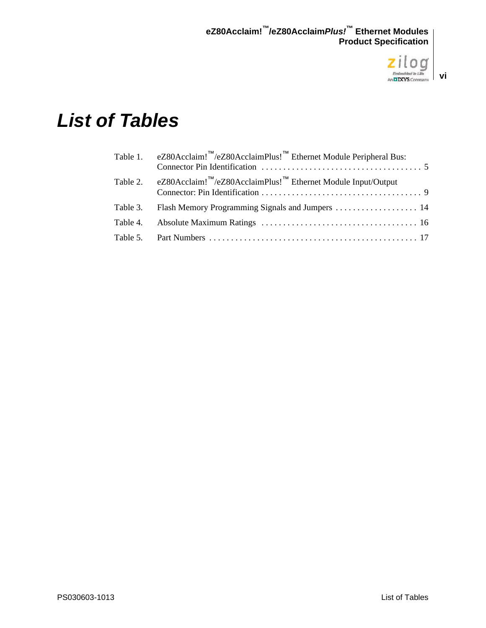

# <span id="page-5-0"></span>*List of Tables*

|          | Table 1. eZ80Acclaim! <sup>™</sup> /eZ80AcclaimPlus! <sup>™</sup> Ethernet Module Peripheral Bus: |  |
|----------|---------------------------------------------------------------------------------------------------|--|
|          | Table 2. eZ80Acclaim! <sup>™</sup> /eZ80AcclaimPlus! <sup>™</sup> Ethernet Module Input/Output    |  |
| Table 3. |                                                                                                   |  |
|          |                                                                                                   |  |
|          |                                                                                                   |  |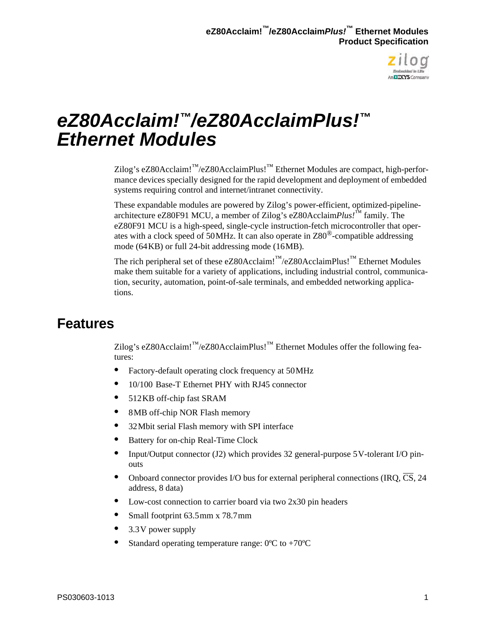

# <span id="page-6-0"></span>*eZ80Acclaim!™/eZ80AcclaimPlus!™ Ethernet Modules*

Zilog's eZ80Acclaim!™/eZ80AcclaimPlus!™ Ethernet Modules are compact, high-performance devices specially designed for the rapid development and deployment of embedded systems requiring control and internet/intranet connectivity.

These expandable modules are powered by Zilog's power-efficient, optimized-pipelinearchitecture eZ80F91 MCU, a member of Zilog's eZ80Acclaim*Plus!*™ family. The eZ80F91 MCU is a high-speed, single-cycle instruction-fetch microcontroller that operates with a clock speed of 50 MHz. It can also operate in Z80®-compatible addressing mode (64KB) or full 24-bit addressing mode (16MB).

The rich peripheral set of these eZ80Acclaim!<sup>™</sup>/eZ80AcclaimPlus!<sup>™</sup> Ethernet Modules make them suitable for a variety of applications, including industrial control, communication, security, automation, point-of-sale terminals, and embedded networking applications.

## <span id="page-6-1"></span>**Features**

Zilog's eZ80Acclaim!™/eZ80AcclaimPlus!™ Ethernet Modules offer the following features:

- **•** Factory-default operating clock frequency at 50 MHz
- 10/100 Base-T Ethernet PHY with RJ45 connector
- **•** 512 KB off-chip fast SRAM
- 8MB off-chip NOR Flash memory
- **•** 32 Mbit serial Flash memory with SPI interface
- **•** Battery for on-chip Real-Time Clock
- Input/Output connector (J2) which provides 32 general-purpose 5 V-tolerant I/O pinouts
- Onboard connector provides I/O bus for external peripheral connections (IRO,  $\overline{CS}$ , 24 address, 8 data)
- **•** Low-cost connection to carrier board via two 2x30 pin headers
- **•** Small footprint 63.5 mm x 78.7 mm
- **•** 3.3 V power supply
- **Standard operating temperature range:**  $0^{\circ}C$  **to**  $+70^{\circ}C$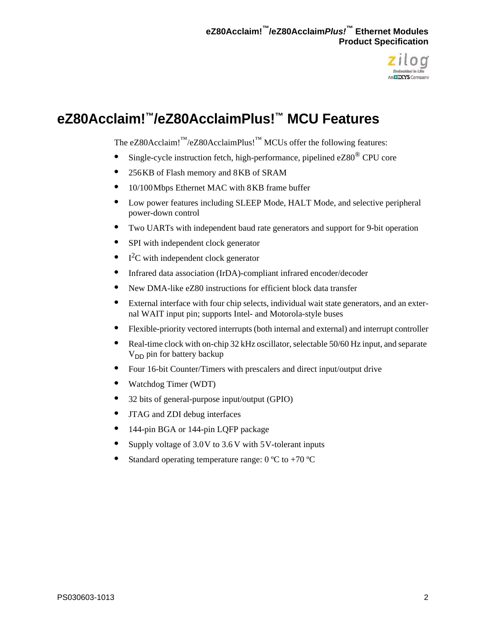

# <span id="page-7-0"></span>**eZ80Acclaim!™/eZ80AcclaimPlus!™ MCU Features**

The eZ80Acclaim! $M/eZ80$ AcclaimPlus!<sup>™</sup> MCUs offer the following features:

- **•** Single-cycle instruction fetch, high-performance, pipelined eZ80® CPU core
- **•** 256 KB of Flash memory and 8 KB of SRAM
- **•** 10/100 Mbps Ethernet MAC with 8 KB frame buffer
- **•** Low power features including SLEEP Mode, HALT Mode, and selective peripheral power-down control
- **•** Two UARTs with independent baud rate generators and support for 9-bit operation
- SPI with independent clock generator
- $\bullet$  ${}^{2}C$  with independent clock generator
- **•** Infrared data association (IrDA)-compliant infrared encoder/decoder
- **•** New DMA-like eZ80 instructions for efficient block data transfer
- **•** External interface with four chip selects, individual wait state generators, and an external WAIT input pin; supports Intel- and Motorola-style buses
- **•** Flexible-priority vectored interrupts (both internal and external) and interrupt controller
- Real-time clock with on-chip 32 kHz oscillator, selectable 50/60 Hz input, and separate  $V_{DD}$  pin for battery backup
- **•** Four 16-bit Counter/Timers with prescalers and direct input/output drive
- **•** Watchdog Timer (WDT)
- **•** 32 bits of general-purpose input/output (GPIO)
- **•** JTAG and ZDI debug interfaces
- **•** 144-pin BGA or 144-pin LQFP package
- Supply voltage of 3.0 V to 3.6 V with 5 V-tolerant inputs
- **Standard operating temperature range:**  $0^{\circ}$ **C to +70**  $^{\circ}$ **C**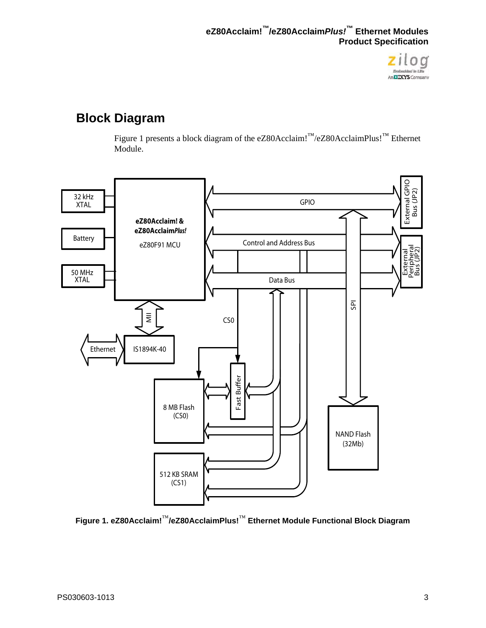

## <span id="page-8-0"></span>**Block Diagram**

[Figure 1](#page-8-1) presents a block diagram of the eZ80Acclaim!<sup>™</sup>/eZ80AcclaimPlus!<sup>™</sup> Ethernet Module.



<span id="page-8-1"></span>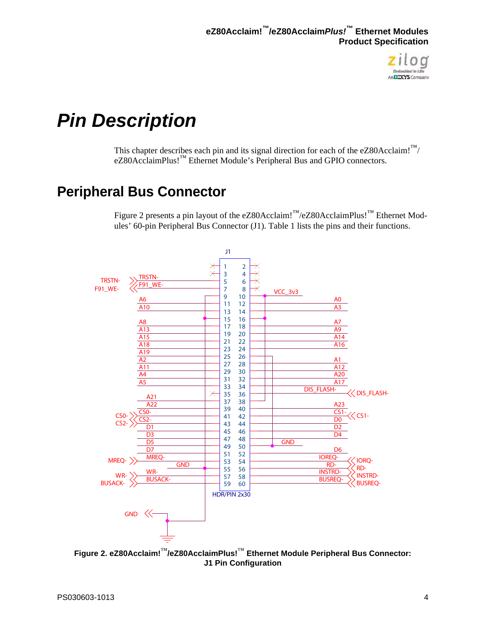

# <span id="page-9-0"></span>*Pin Description*

This chapter describes each pin and its signal direction for each of the eZ80Acclaim!<sup>™/</sup> eZ80AcclaimPlus!™ Ethernet Module's Peripheral Bus and GPIO connectors.

## <span id="page-9-1"></span>**Peripheral Bus Connector**

[Figure 2](#page-9-2) presents a pin layout of the eZ80Acclaim!™/eZ80AcclaimPlus!™ Ethernet Modules' 60-pin Peripheral Bus Connector (J1). [Table 1](#page-10-0) lists the pins and their functions.



<span id="page-9-2"></span>**Figure 2. eZ80Acclaim!**™**/eZ80AcclaimPlus!**™ **Ethernet Module Peripheral Bus Connector: J1 Pin Configuration**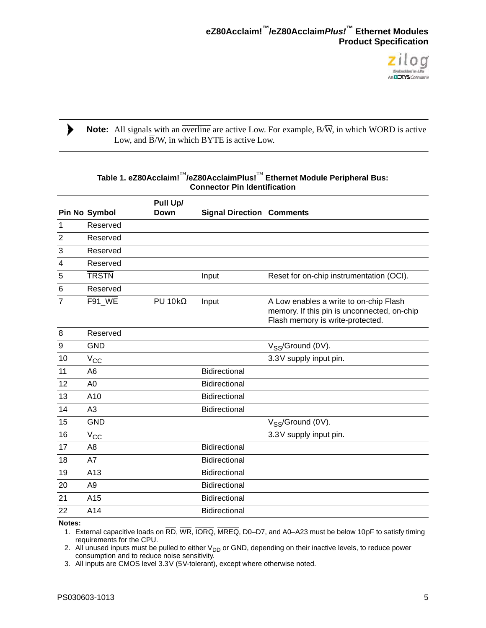

#### Note: All signals with an overline are active Low. For example, B/W, in which WORD is active Low, and  $\overline{B}/W$ , in which BYTE is active Low.

<span id="page-10-0"></span>

|                | <b>Pin No Symbol</b> | Pull Up/<br>Down  | <b>Signal Direction Comments</b> |                                                                                                                           |
|----------------|----------------------|-------------------|----------------------------------|---------------------------------------------------------------------------------------------------------------------------|
| $\mathbf{1}$   | Reserved             |                   |                                  |                                                                                                                           |
| $\overline{2}$ | Reserved             |                   |                                  |                                                                                                                           |
| 3              | Reserved             |                   |                                  |                                                                                                                           |
| 4              | Reserved             |                   |                                  |                                                                                                                           |
| 5              | <b>TRSTN</b>         |                   | Input                            | Reset for on-chip instrumentation (OCI).                                                                                  |
| 6              | Reserved             |                   |                                  |                                                                                                                           |
| $\overline{7}$ | F91 WE               | $PU$ 10k $\Omega$ | Input                            | A Low enables a write to on-chip Flash<br>memory. If this pin is unconnected, on-chip<br>Flash memory is write-protected. |
| 8              | Reserved             |                   |                                  |                                                                                                                           |
| 9              | <b>GND</b>           |                   |                                  | $V_{SS}$ /Ground (0V).                                                                                                    |
| 10             | $V_{CC}$             |                   |                                  | 3.3V supply input pin.                                                                                                    |
| 11             | A <sub>6</sub>       |                   | Bidirectional                    |                                                                                                                           |
| 12             | A <sub>0</sub>       |                   | Bidirectional                    |                                                                                                                           |
| 13             | A10                  |                   | Bidirectional                    |                                                                                                                           |
| 14             | A3                   |                   | Bidirectional                    |                                                                                                                           |
| 15             | <b>GND</b>           |                   |                                  | $V_{SS}$ /Ground (0V).                                                                                                    |
| 16             | $V_{CC}$             |                   |                                  | 3.3V supply input pin.                                                                                                    |
| 17             | A <sub>8</sub>       |                   | Bidirectional                    |                                                                                                                           |
| 18             | A7                   |                   | Bidirectional                    |                                                                                                                           |
| 19             | A13                  |                   | Bidirectional                    |                                                                                                                           |
| 20             | A <sub>9</sub>       |                   | Bidirectional                    |                                                                                                                           |
| 21             | A15                  |                   | Bidirectional                    |                                                                                                                           |
| 22             | A14                  |                   | Bidirectional                    |                                                                                                                           |
| Notes:         |                      |                   |                                  |                                                                                                                           |

#### **Table 1. eZ80Acclaim!**™**/eZ80AcclaimPlus!**™ **Ethernet Module Peripheral Bus: Connector Pin Identification**

**Notes:**

 $\blacktriangleright$ 

1. External capacitive loads on RD, WR, IORQ, MREQ, D0-D7, and A0-A23 must be below 10 pF to satisfy timing requirements for the CPU.

2. All unused inputs must be pulled to either  $V_{DD}$  or GND, depending on their inactive levels, to reduce power consumption and to reduce noise sensitivity.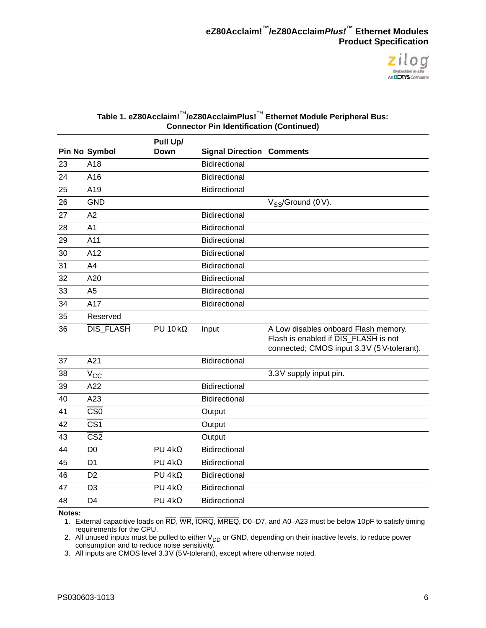

#### **Table 1. eZ80Acclaim!**™**/eZ80AcclaimPlus!**™ **Ethernet Module Peripheral Bus: Connector Pin Identification (Continued)**

|    |                         | Pull Up/           |                                  |                                                                                                                           |
|----|-------------------------|--------------------|----------------------------------|---------------------------------------------------------------------------------------------------------------------------|
|    | Pin No Symbol           | Down               | <b>Signal Direction Comments</b> |                                                                                                                           |
| 23 | A18                     |                    | <b>Bidirectional</b>             |                                                                                                                           |
| 24 | A16                     |                    | Bidirectional                    |                                                                                                                           |
| 25 | A19                     |                    | Bidirectional                    |                                                                                                                           |
| 26 | <b>GND</b>              |                    |                                  | $V_{SS}$ /Ground (0 V).                                                                                                   |
| 27 | A2                      |                    | <b>Bidirectional</b>             |                                                                                                                           |
| 28 | A <sub>1</sub>          |                    | <b>Bidirectional</b>             |                                                                                                                           |
| 29 | A11                     |                    | Bidirectional                    |                                                                                                                           |
| 30 | A12                     |                    | Bidirectional                    |                                                                                                                           |
| 31 | A <sub>4</sub>          |                    | <b>Bidirectional</b>             |                                                                                                                           |
| 32 | A20                     |                    | <b>Bidirectional</b>             |                                                                                                                           |
| 33 | A <sub>5</sub>          |                    | <b>Bidirectional</b>             |                                                                                                                           |
| 34 | A17                     |                    | Bidirectional                    |                                                                                                                           |
| 35 | Reserved                |                    |                                  |                                                                                                                           |
| 36 | DIS_FLASH               | $PU$ 10 k $\Omega$ | Input                            | A Low disables onboard Flash memory.<br>Flash is enabled if DIS FLASH is not<br>connected; CMOS input 3.3V (5V-tolerant). |
| 37 | A21                     |                    | Bidirectional                    |                                                                                                                           |
| 38 | $V_{\rm CC}$            |                    |                                  | 3.3V supply input pin.                                                                                                    |
| 39 | A22                     |                    | Bidirectional                    |                                                                                                                           |
| 40 | A23                     |                    | Bidirectional                    |                                                                                                                           |
| 41 | CS <sub>0</sub>         |                    | Output                           |                                                                                                                           |
| 42 | $\overline{\text{CS1}}$ |                    | Output                           |                                                                                                                           |
| 43 | CS <sub>2</sub>         |                    | Output                           |                                                                                                                           |
| 44 | D <sub>0</sub>          | $PU 4k\Omega$      | Bidirectional                    |                                                                                                                           |
| 45 | D <sub>1</sub>          | $PU 4k\Omega$      | <b>Bidirectional</b>             |                                                                                                                           |
| 46 | D <sub>2</sub>          | $PU 4k\Omega$      | Bidirectional                    |                                                                                                                           |
| 47 | D <sub>3</sub>          | $PU 4k\Omega$      | Bidirectional                    |                                                                                                                           |
| 48 | D <sub>4</sub>          | $PU 4k\Omega$      | <b>Bidirectional</b>             |                                                                                                                           |
|    |                         |                    |                                  |                                                                                                                           |

#### **Notes:**

1. External capacitive loads on RD, WR, IORQ, MREQ, D0-D7, and A0-A23 must be below 10 pF to satisfy timing requirements for the CPU.

2. All unused inputs must be pulled to either  $V_{DD}$  or GND, depending on their inactive levels, to reduce power consumption and to reduce noise sensitivity.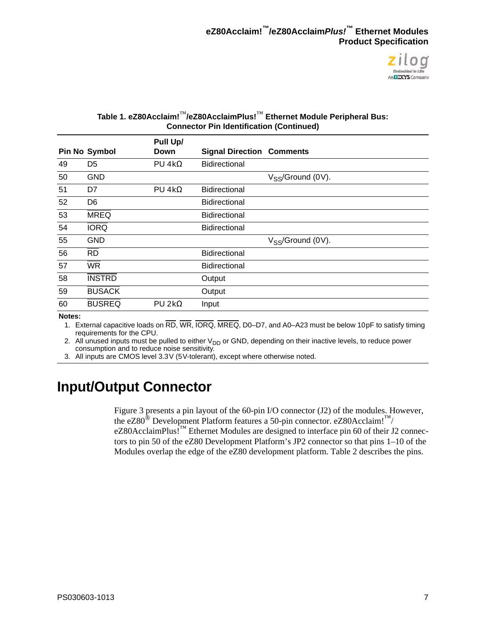

#### **Table 1. eZ80Acclaim!**™**/eZ80AcclaimPlus!**™ **Ethernet Module Peripheral Bus: Connector Pin Identification (Continued)**

|    |                      | Pull Up/       |                                  |                        |
|----|----------------------|----------------|----------------------------------|------------------------|
|    | <b>Pin No Symbol</b> | Down           | <b>Signal Direction Comments</b> |                        |
| 49 | D <sub>5</sub>       | PU 4k $\Omega$ | <b>Bidirectional</b>             |                        |
| 50 | <b>GND</b>           |                |                                  | $V_{SS}$ /Ground (0V). |
| 51 | D7                   | $PU 4k\Omega$  | <b>Bidirectional</b>             |                        |
| 52 | D <sub>6</sub>       |                | <b>Bidirectional</b>             |                        |
| 53 | <b>MREQ</b>          |                | <b>Bidirectional</b>             |                        |
| 54 | <b>IORQ</b>          |                | <b>Bidirectional</b>             |                        |
| 55 | <b>GND</b>           |                |                                  | $V_{SS}$ /Ground (0V). |
| 56 | <b>RD</b>            |                | <b>Bidirectional</b>             |                        |
| 57 | <b>WR</b>            |                | <b>Bidirectional</b>             |                        |
| 58 | <b>INSTRD</b>        |                | Output                           |                        |
| 59 | <b>BUSACK</b>        |                | Output                           |                        |
| 60 | <b>BUSREQ</b>        | $PU 2k\Omega$  | Input                            |                        |
|    |                      |                |                                  |                        |

**Notes:**

1. External capacitive loads on  $\overline{RD}$ ,  $\overline{WR}$ ,  $\overline{IORQ}$ ,  $\overline{MREQ}$ ,  $D0-D7$ , and A0-A23 must be below 10 pF to satisfy timing requirements for the CPU.

2. All unused inputs must be pulled to either  $V_{DD}$  or GND, depending on their inactive levels, to reduce power consumption and to reduce noise sensitivity.

3. All inputs are CMOS level 3.3 V (5 V-tolerant), except where otherwise noted.

## <span id="page-12-0"></span>**Input/Output Connector**

[Figure 3](#page-13-0) presents a pin layout of the 60-pin I/O connector (J2) of the modules. However, the eZ80<sup>®</sup> Development Platform features a 50-pin connector. eZ80Acclaim!<sup>™/</sup> eZ80AcclaimPlus!<sup>™</sup> Ethernet Modules are designed to interface pin 60 of their J2 connectors to pin 50 of the eZ80 Development Platform's JP2 connector so that pins 1–10 of the Modules overlap the edge of the eZ80 development platform. [Table 2](#page-14-0) describes the pins.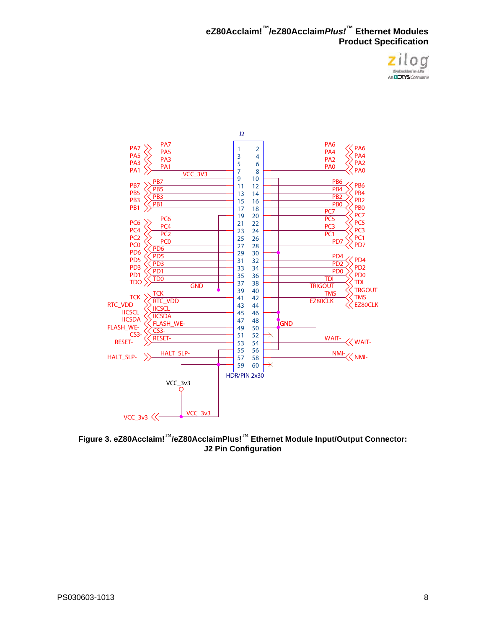



<span id="page-13-0"></span>**Figure 3. eZ80Acclaim!**™**/eZ80AcclaimPlus!**™ **Ethernet Module Input/Output Connector: J2 Pin Configuration**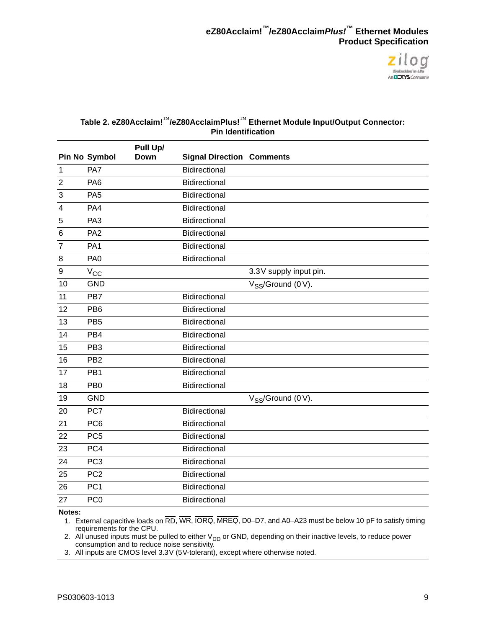

#### <span id="page-14-0"></span>**Table 2. eZ80Acclaim!**™**/eZ80AcclaimPlus!**™ **Ethernet Module Input/Output Connector: Pin Identification**

|                  |                 | Pull Up/ |                                  |                         |
|------------------|-----------------|----------|----------------------------------|-------------------------|
|                  | Pin No Symbol   | Down     | <b>Signal Direction Comments</b> |                         |
| $\mathbf{1}$     | PA7             |          | <b>Bidirectional</b>             |                         |
| $\overline{2}$   | PA <sub>6</sub> |          | <b>Bidirectional</b>             |                         |
| 3                | PA <sub>5</sub> |          | <b>Bidirectional</b>             |                         |
| 4                | PA4             |          | <b>Bidirectional</b>             |                         |
| 5                | PA <sub>3</sub> |          | Bidirectional                    |                         |
| 6                | PA <sub>2</sub> |          | <b>Bidirectional</b>             |                         |
| 7                | PA <sub>1</sub> |          | <b>Bidirectional</b>             |                         |
| 8                | PA <sub>0</sub> |          | <b>Bidirectional</b>             |                         |
| $\boldsymbol{9}$ | $V_{\rm CC}$    |          |                                  | 3.3V supply input pin.  |
| 10               | <b>GND</b>      |          |                                  | $V_{SS}$ /Ground (0 V). |
| 11               | PB7             |          | Bidirectional                    |                         |
| 12               | PB <sub>6</sub> |          | <b>Bidirectional</b>             |                         |
| 13               | PB <sub>5</sub> |          | <b>Bidirectional</b>             |                         |
| 14               | PB4             |          | <b>Bidirectional</b>             |                         |
| 15               | PB <sub>3</sub> |          | Bidirectional                    |                         |
| 16               | PB <sub>2</sub> |          | <b>Bidirectional</b>             |                         |
| 17               | PB <sub>1</sub> |          | <b>Bidirectional</b>             |                         |
| 18               | PB <sub>0</sub> |          | Bidirectional                    |                         |
| 19               | <b>GND</b>      |          |                                  | $V_{SS}$ /Ground (0 V). |
| 20               | PC7             |          | Bidirectional                    |                         |
| 21               | PC <sub>6</sub> |          | Bidirectional                    |                         |
| 22               | PC <sub>5</sub> |          | Bidirectional                    |                         |
| 23               | PC4             |          | Bidirectional                    |                         |
| 24               | PC <sub>3</sub> |          | Bidirectional                    |                         |
| 25               | PC <sub>2</sub> |          | Bidirectional                    |                         |
| 26               | PC <sub>1</sub> |          | Bidirectional                    |                         |
| 27               | PC <sub>0</sub> |          | Bidirectional                    |                         |
|                  |                 |          |                                  |                         |

#### **Notes:**

1. External capacitive loads on RD, WR, IORQ, MREQ, D0–D7, and A0–A23 must be below 10 pF to satisfy timing requirements for the CPU.

2. All unused inputs must be pulled to either V<sub>DD</sub> or GND, depending on their inactive levels, to reduce power consumption and to reduce noise sensitivity.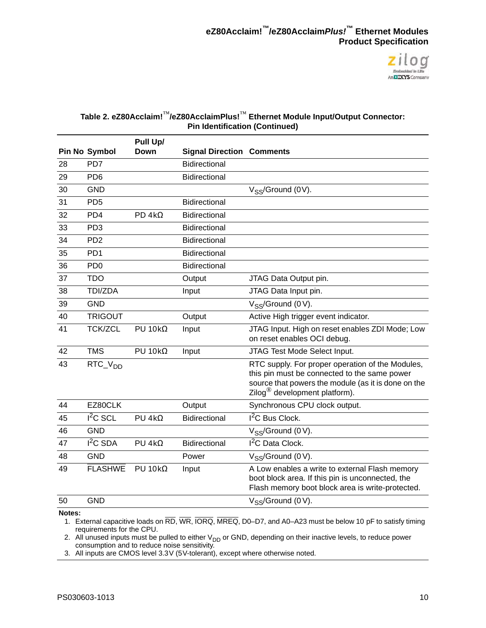

#### **Table 2. eZ80Acclaim!**™**/eZ80AcclaimPlus!**™ **Ethernet Module Input/Output Connector: Pin Identification (Continued)**

|    |                             | Pull Up/          |                                  |                                                                                                                                                                                                      |
|----|-----------------------------|-------------------|----------------------------------|------------------------------------------------------------------------------------------------------------------------------------------------------------------------------------------------------|
|    | Pin No Symbol               | <b>Down</b>       | <b>Signal Direction Comments</b> |                                                                                                                                                                                                      |
| 28 | PD7                         |                   | Bidirectional                    |                                                                                                                                                                                                      |
| 29 | PD <sub>6</sub>             |                   | Bidirectional                    |                                                                                                                                                                                                      |
| 30 | <b>GND</b>                  |                   |                                  | $V_{SS}$ /Ground (0V).                                                                                                                                                                               |
| 31 | PD <sub>5</sub>             |                   | <b>Bidirectional</b>             |                                                                                                                                                                                                      |
| 32 | PD4                         | $PD 4k\Omega$     | <b>Bidirectional</b>             |                                                                                                                                                                                                      |
| 33 | PD <sub>3</sub>             |                   | Bidirectional                    |                                                                                                                                                                                                      |
| 34 | P <sub>D</sub> <sub>2</sub> |                   | Bidirectional                    |                                                                                                                                                                                                      |
| 35 | PD <sub>1</sub>             |                   | Bidirectional                    |                                                                                                                                                                                                      |
| 36 | P <sub>D</sub> <sub>0</sub> |                   | <b>Bidirectional</b>             |                                                                                                                                                                                                      |
| 37 | <b>TDO</b>                  |                   | Output                           | JTAG Data Output pin.                                                                                                                                                                                |
| 38 | TDI/ZDA                     |                   | Input                            | JTAG Data Input pin.                                                                                                                                                                                 |
| 39 | <b>GND</b>                  |                   |                                  | $V_{SS}$ /Ground (0 V).                                                                                                                                                                              |
| 40 | <b>TRIGOUT</b>              |                   | Output                           | Active High trigger event indicator.                                                                                                                                                                 |
| 41 | <b>TCK/ZCL</b>              | $PU$ 10k $\Omega$ | Input                            | JTAG Input. High on reset enables ZDI Mode; Low<br>on reset enables OCI debug.                                                                                                                       |
| 42 | <b>TMS</b>                  | $PU$ 10k $\Omega$ | Input                            | JTAG Test Mode Select Input.                                                                                                                                                                         |
| 43 | $RTC_VDD$                   |                   |                                  | RTC supply. For proper operation of the Modules,<br>this pin must be connected to the same power<br>source that powers the module (as it is done on the<br>Zilog <sup>®</sup> development platform). |
| 44 | EZ80CLK                     |                   | Output                           | Synchronous CPU clock output.                                                                                                                                                                        |
| 45 | $I2C$ SCL                   | $PU 4k\Omega$     | <b>Bidirectional</b>             | $I2C$ Bus Clock.                                                                                                                                                                                     |
| 46 | <b>GND</b>                  |                   |                                  | V <sub>SS</sub> /Ground (0 V).                                                                                                                                                                       |
| 47 | $I2C$ SDA                   | $PU$ 4k $\Omega$  | <b>Bidirectional</b>             | <sup>2</sup> C Data Clock.                                                                                                                                                                           |
| 48 | <b>GND</b>                  |                   | Power                            | $V_{SS}$ /Ground (0 V).                                                                                                                                                                              |
| 49 | <b>FLASHWE</b>              | $PU$ 10k $\Omega$ | Input                            | A Low enables a write to external Flash memory<br>boot block area. If this pin is unconnected, the<br>Flash memory boot block area is write-protected.                                               |
| 50 | <b>GND</b>                  |                   |                                  | $V_{SS}$ /Ground (0 V).                                                                                                                                                                              |

#### **Notes:**

1. External capacitive loads on RD, WR, IORQ, MREQ, D0–D7, and A0–A23 must be below 10 pF to satisfy timing requirements for the CPU.

2. All unused inputs must be pulled to either  $V_{DD}$  or GND, depending on their inactive levels, to reduce power consumption and to reduce noise sensitivity.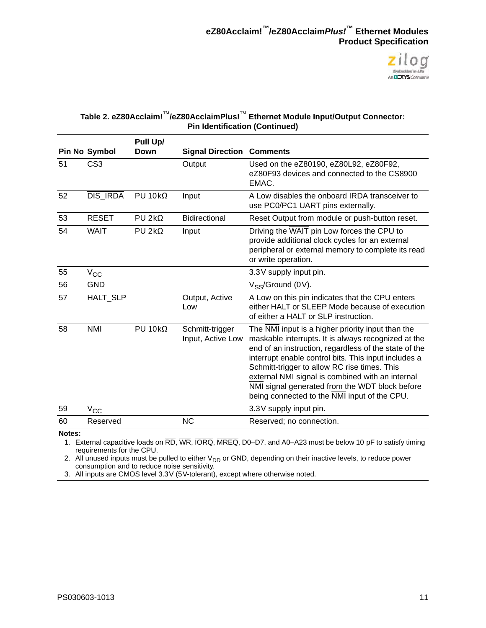

#### **Table 2. eZ80Acclaim!**™**/eZ80AcclaimPlus!**™ **Ethernet Module Input/Output Connector: Pin Identification (Continued)**

|    |                      | Pull Up/          |                                      |                                                                                                                                                                                                                                                                                                                                                                                                                                 |
|----|----------------------|-------------------|--------------------------------------|---------------------------------------------------------------------------------------------------------------------------------------------------------------------------------------------------------------------------------------------------------------------------------------------------------------------------------------------------------------------------------------------------------------------------------|
|    | <b>Pin No Symbol</b> | Down              | <b>Signal Direction Comments</b>     |                                                                                                                                                                                                                                                                                                                                                                                                                                 |
| 51 | CS <sub>3</sub>      |                   | Output                               | Used on the eZ80190, eZ80L92, eZ80F92,<br>eZ80F93 devices and connected to the CS8900<br>EMAC.                                                                                                                                                                                                                                                                                                                                  |
| 52 | <b>DIS IRDA</b>      | $PU$ 10k $\Omega$ | Input                                | A Low disables the onboard IRDA transceiver to<br>use PC0/PC1 UART pins externally.                                                                                                                                                                                                                                                                                                                                             |
| 53 | <b>RESET</b>         | $PU 2k\Omega$     | <b>Bidirectional</b>                 | Reset Output from module or push-button reset.                                                                                                                                                                                                                                                                                                                                                                                  |
| 54 | <b>WAIT</b>          | $PU 2k\Omega$     | Input                                | Driving the WAIT pin Low forces the CPU to<br>provide additional clock cycles for an external<br>peripheral or external memory to complete its read<br>or write operation.                                                                                                                                                                                                                                                      |
| 55 | $V_{CC}$             |                   |                                      | 3.3V supply input pin.                                                                                                                                                                                                                                                                                                                                                                                                          |
| 56 | <b>GND</b>           |                   |                                      | $V_{SS}$ /Ground (0V).                                                                                                                                                                                                                                                                                                                                                                                                          |
| 57 | <b>HALT SLP</b>      |                   | Output, Active<br>Low                | A Low on this pin indicates that the CPU enters<br>either HALT or SLEEP Mode because of execution<br>of either a HALT or SLP instruction.                                                                                                                                                                                                                                                                                       |
| 58 | <b>NMI</b>           | $PU$ 10k $\Omega$ | Schmitt-trigger<br>Input, Active Low | The NMI input is a higher priority input than the<br>maskable interrupts. It is always recognized at the<br>end of an instruction, regardless of the state of the<br>interrupt enable control bits. This input includes a<br>Schmitt-trigger to allow RC rise times. This<br>external NMI signal is combined with an internal<br>NMI signal generated from the WDT block before<br>being connected to the NMI input of the CPU. |
| 59 | $\rm V_{CC}$         |                   |                                      | 3.3V supply input pin.                                                                                                                                                                                                                                                                                                                                                                                                          |
| 60 | Reserved             |                   | <b>NC</b>                            | Reserved; no connection.                                                                                                                                                                                                                                                                                                                                                                                                        |
|    |                      |                   |                                      |                                                                                                                                                                                                                                                                                                                                                                                                                                 |

**Notes:**

1. External capacitive loads on RD, WR, IORQ, MREQ, D0–D7, and A0–A23 must be below 10 pF to satisfy timing requirements for the CPU.

2. All unused inputs must be pulled to either V<sub>DD</sub> or GND, depending on their inactive levels, to reduce power consumption and to reduce noise sensitivity.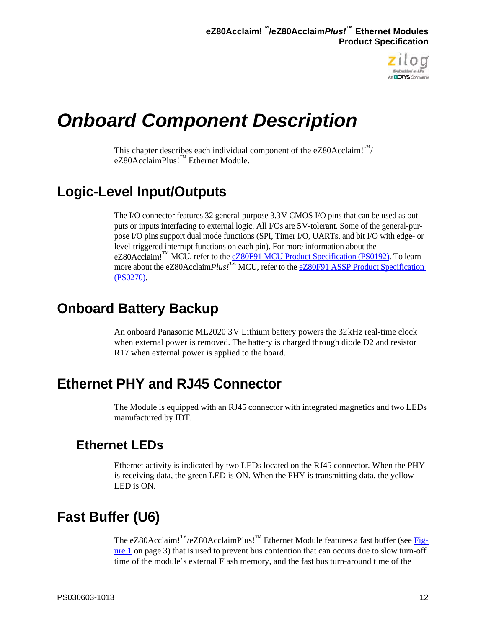

# <span id="page-17-0"></span>*Onboard Component Description*

This chapter describes each individual component of the eZ80Acclaim! $\mathbb{N}$ eZ80AcclaimPlus!™ Ethernet Module.

## <span id="page-17-1"></span>**Logic-Level Input/Outputs**

The I/O connector features 32 general-purpose 3.3 V CMOS I/O pins that can be used as outputs or inputs interfacing to external logic. All I/Os are 5 V-tolerant. Some of the general-purpose I/O pins support dual mode functions (SPI, Timer I/O, UARTs, and bit I/O with edge- or level-triggered interrupt functions on each pin). For more information about the eZ80Acclaim!<sup>™</sup> MCU, refer to the **eZ80F91 MCU Product Specification (PS0192)**. To learn more about the eZ80Acclaim*Plus!*<sup>™</sup> MCU, refer to the eZ80F91 ASSP Product Specification [\(PS0270\)](http://www.zilog.com/docs/ez80acclaim/ps0270.pdf).

## <span id="page-17-2"></span>**Onboard Battery Backup**

An onboard Panasonic ML2020 3 V Lithium battery powers the 32 kHz real-time clock when external power is removed. The battery is charged through diode D2 and resistor R17 when external power is applied to the board.

## <span id="page-17-3"></span>**Ethernet PHY and RJ45 Connector**

The Module is equipped with an RJ45 connector with integrated magnetics and two LEDs manufactured by IDT.

### <span id="page-17-4"></span>**Ethernet LEDs**

Ethernet activity is indicated by two LEDs located on the RJ45 connector. When the PHY is receiving data, the green LED is ON. When the PHY is transmitting data, the yellow LED is ON.

# <span id="page-17-5"></span>**Fast Buffer (U6)**

The eZ80Acclaim!<sup>™</sup>/eZ80AcclaimPlus!<sup>™</sup> Ethernet Module features a fast buffer (see [Fig](#page-8-1)[ure 1 on page 3](#page-8-1)) that is used to prevent bus contention that can occurs due to slow turn-off time of the module's external Flash memory, and the fast bus turn-around time of the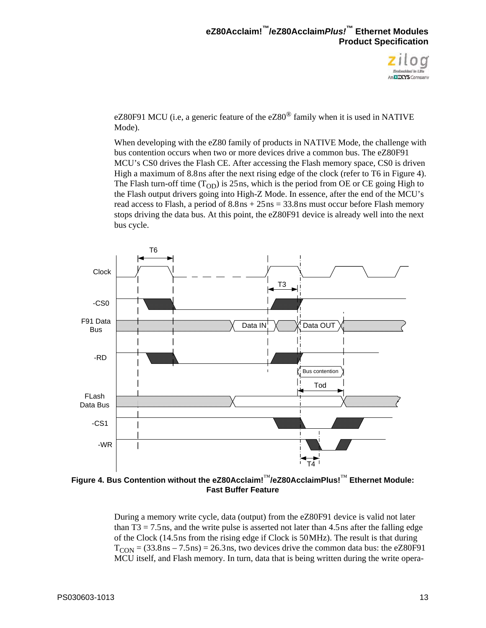

eZ80F91 MCU (i.e, a generic feature of the  $eZ80^{\circ}$  family when it is used in NATIVE Mode).

When developing with the eZ80 family of products in NATIVE Mode, the challenge with bus contention occurs when two or more devices drive a common bus. The eZ80F91 MCU's CS0 drives the Flash CE. After accessing the Flash memory space, CS0 is driven High a maximum of 8.8 ns after the next rising edge of the clock (refer to T6 in [Figure 4\)](#page-18-0). The Flash turn-off time  $(T_{OD})$  is 25 ns, which is the period from OE or CE going High to the Flash output drivers going into High-Z Mode. In essence, after the end of the MCU's read access to Flash, a period of  $8.8 \text{ns} + 25 \text{ns} = 33.8 \text{ns}$  must occur before Flash memory stops driving the data bus. At this point, the eZ80F91 device is already well into the next bus cycle.



<span id="page-18-0"></span>**Figure 4. Bus Contention without the eZ80Acclaim!**™**/eZ80AcclaimPlus!**™ **Ethernet Module: Fast Buffer Feature**

During a memory write cycle, data (output) from the eZ80F91 device is valid not later than  $T3 = 7.5$  ns, and the write pulse is asserted not later than 4.5 ns after the falling edge of the Clock (14.5 ns from the rising edge if Clock is 50 MHz). The result is that during  $T_{CON} = (33.8 \text{ns} - 7.5 \text{ns}) = 26.3 \text{ns}$ , two devices drive the common data bus: the eZ80F91 MCU itself, and Flash memory. In turn, data that is being written during the write opera-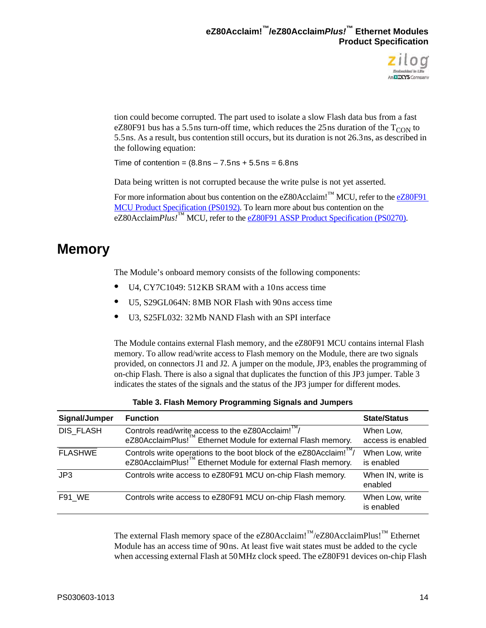

tion could become corrupted. The part used to isolate a slow Flash data bus from a fast eZ80F91 bus has a 5.5 ns turn-off time, which reduces the 25 ns duration of the  $T_{\text{CON}}$  to 5.5 ns. As a result, bus contention still occurs, but its duration is not 26.3 ns, as described in the following equation:

Time of contention =  $(8.8 \text{ns} - 7.5 \text{ns} + 5.5 \text{ns} = 6.8 \text{ns})$ 

Data being written is not corrupted because the write pulse is not yet asserted.

For more information about bus contention on the eZ80Acclaim!<sup>™</sup> MCU, refer to the eZ80F91 [MCU Product Specification \(PS0192\)](http://www.zilog.com/docs/ez80acclaim/ps0192.pdf). To learn more about bus contention on the eZ80Acclaim*Plus!*™ MCU, refer to the [eZ80F91 ASSP Product Specification \(PS0270\).](http://www.zilog.com/docs/ez80acclaim/ps0270.pdf)

## <span id="page-19-0"></span>**Memory**

The Module's onboard memory consists of the following components:

- U4, CY7C1049: 512KB SRAM with a 10ns access time
- U5, S29GL064N: 8MB NOR Flash with 90 ns access time
- **•** U3, S25FL032: 32 Mb NAND Flash with an SPI interface

The Module contains external Flash memory, and the eZ80F91 MCU contains internal Flash memory. To allow read/write access to Flash memory on the Module, there are two signals provided, on connectors J1 and J2. A jumper on the module, JP3, enables the programming of on-chip Flash. There is also a signal that duplicates the function of this JP3 jumper. [Table 3](#page-19-1)  indicates the states of the signals and the status of the JP3 jumper for different modes.

<span id="page-19-1"></span>

| Signal/Jumper   | <b>Function</b>                                                                                                                                           | <b>State/Status</b>            |
|-----------------|-----------------------------------------------------------------------------------------------------------------------------------------------------------|--------------------------------|
| DIS FLASH       | Controls read/write access to the eZ80Acclaim! <sup>™/</sup><br>eZ80AcclaimPlus! <sup>™</sup> Ethernet Module for external Flash memory.                  | When Low,<br>access is enabled |
| <b>FLASHWE</b>  | Controls write operations to the boot block of the eZ80Acclaim! $\frac{m}{2}$<br>eZ80AcclaimPlus! <sup>™</sup> Ethernet Module for external Flash memory. | When Low, write<br>is enabled  |
| J <sub>P3</sub> | Controls write access to eZ80F91 MCU on-chip Flash memory.                                                                                                | When IN, write is<br>enabled   |
| <b>F91 WE</b>   | Controls write access to eZ80F91 MCU on-chip Flash memory.                                                                                                | When Low, write<br>is enabled  |

|  | Table 3. Flash Memory Programming Signals and Jumpers |  |  |
|--|-------------------------------------------------------|--|--|
|--|-------------------------------------------------------|--|--|

The external Flash memory space of the eZ80Acclaim!<sup>™</sup>/eZ80AcclaimPlus!<sup>™</sup> Ethernet Module has an access time of 90 ns. At least five wait states must be added to the cycle when accessing external Flash at 50 MHz clock speed. The eZ80F91 devices on-chip Flash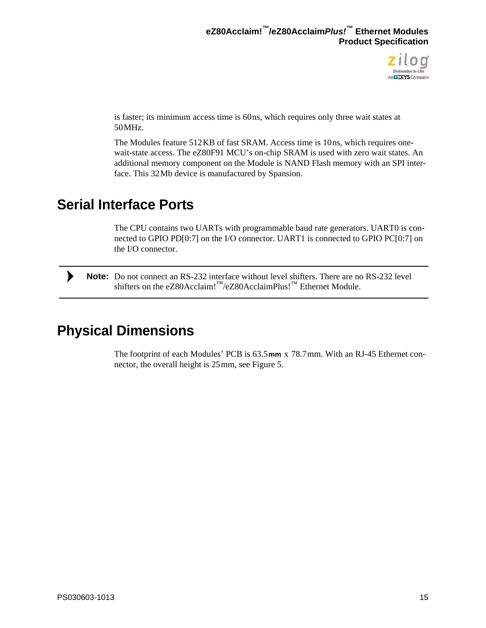

is faster; its minimum access time is 60 ns, which requires only three wait states at 50 MHz.

The Modules feature 512 KB of fast SRAM. Access time is 10 ns, which requires onewait-state access. The eZ80F91 MCU's on-chip SRAM is used with zero wait states. An additional memory component on the Module is NAND Flash memory with an SPI interface. This 32 Mb device is manufactured by Spansion.

## <span id="page-20-0"></span>**Serial Interface Ports**

The CPU contains two UARTs with programmable baud rate generators. UART0 is connected to GPIO PD[0:7] on the I/O connector. UART1 is connected to GPIO PC[0:7] on the I/O connector.

Note: Do not connect an RS-232 interface without level shifters. There are no RS-232 level shifters on the eZ80Acclaim!<sup>™</sup>/eZ80AcclaimPlus!<sup>™</sup> Ethernet Module.

## <span id="page-20-1"></span>**Physical Dimensions**

 $\blacktriangleright$ 

The footprint of each Modules' PCB is 63.5 **mm** x 78.7 mm. With an RJ-45 Ethernet connector, the overall height is 25 mm, see [Figure 5.](#page-21-1)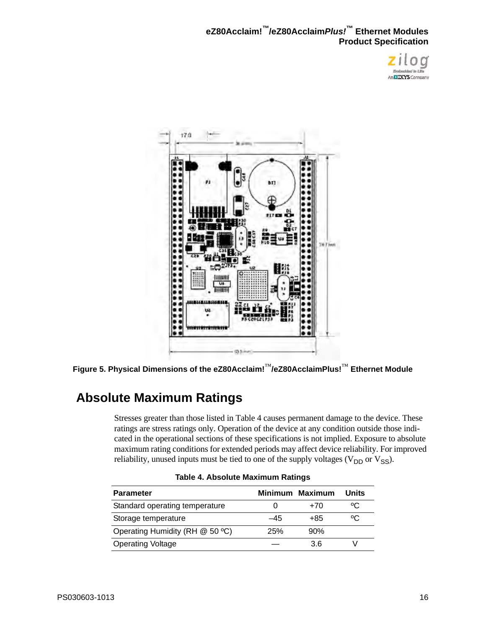



**Figure 5. Physical Dimensions of the eZ80Acclaim!**™**/eZ80AcclaimPlus!**™ **Ethernet Module**

## <span id="page-21-1"></span><span id="page-21-0"></span>**Absolute Maximum Ratings**

Stresses greater than those listed in [Table 4](#page-21-2) causes permanent damage to the device. These ratings are stress ratings only. Operation of the device at any condition outside those indicated in the operational sections of these specifications is not implied. Exposure to absolute maximum rating conditions for extended periods may affect device reliability. For improved reliability, unused inputs must be tied to one of the supply voltages ( $V_{DD}$  or  $V_{SS}$ ).

<span id="page-21-2"></span>

| <b>Parameter</b>                |     | Minimum Maximum | Units |  |
|---------------------------------|-----|-----------------|-------|--|
| Standard operating temperature  |     | +70             | °C    |  |
| Storage temperature             | -45 | +85             | ٥C    |  |
| Operating Humidity (RH @ 50 °C) | 25% | 90%             |       |  |
| <b>Operating Voltage</b>        |     | 36              |       |  |

| Table 4. Absolute Maximum Ratings |  |  |
|-----------------------------------|--|--|
|-----------------------------------|--|--|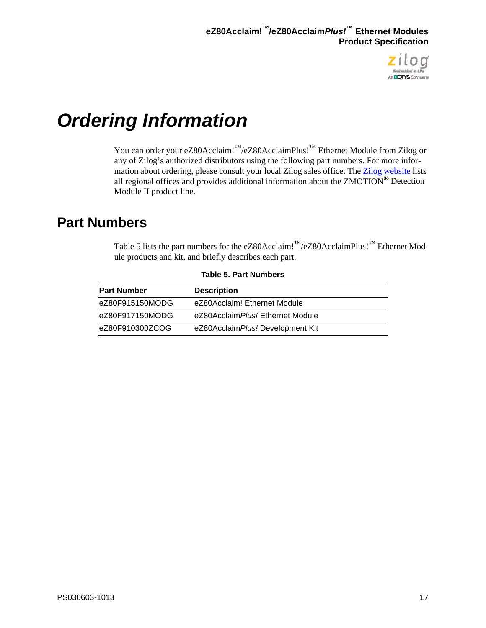

# <span id="page-22-1"></span><span id="page-22-0"></span>*Ordering Information*

You can order your eZ80Acclaim!™/eZ80AcclaimPlus!™ Ethernet Module from Zilog or any of Zilog's authorized distributors using the following part numbers. For more information about ordering, please consult your local Zilog sales office. The [Zilog website](http://www.zilog.com/) lists all regional offices and provides additional information about the ZMOTION® Detection Module II product line.

## <span id="page-22-2"></span>**Part Numbers**

[Table 5](#page-22-3) lists the part numbers for the eZ80Acclaim!<sup>™</sup>/eZ80AcclaimPlus!<sup>™</sup> Ethernet Module products and kit, and briefly describes each part.

<span id="page-22-3"></span>

| <b>Part Number</b> | <b>Description</b>                |
|--------------------|-----------------------------------|
| eZ80F915150MODG    | eZ80Acclaim! Ethernet Module      |
| eZ80F917150MODG    | eZ80Acclaim Plus! Ethernet Module |
| eZ80F910300ZCOG    | eZ80Acclaim Plus! Development Kit |

**Table 5. Part Numbers**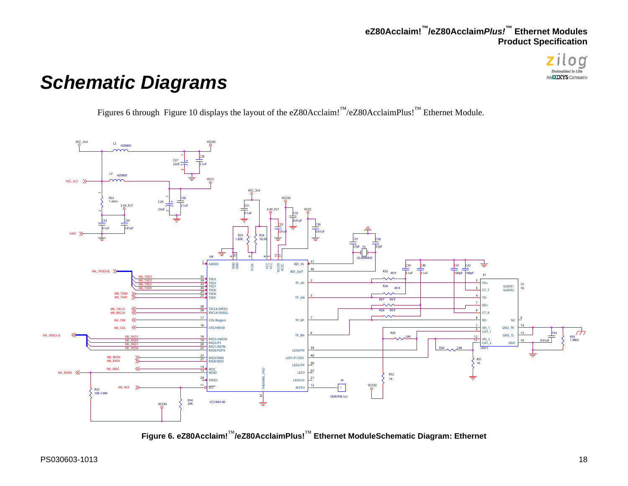

# *Schematic Diagrams*

[Figures 6 through](#page-23-2) Figure 10 displays the layout of the eZ80Acclaim!™/eZ80AcclaimPlus!™ Ethernet Module.



<span id="page-23-2"></span><span id="page-23-1"></span><span id="page-23-0"></span>**Figure 6. eZ80Acclaim!**™**/eZ80AcclaimPlus!**™ **Ethernet ModuleSchematic Diagram: Ethernet**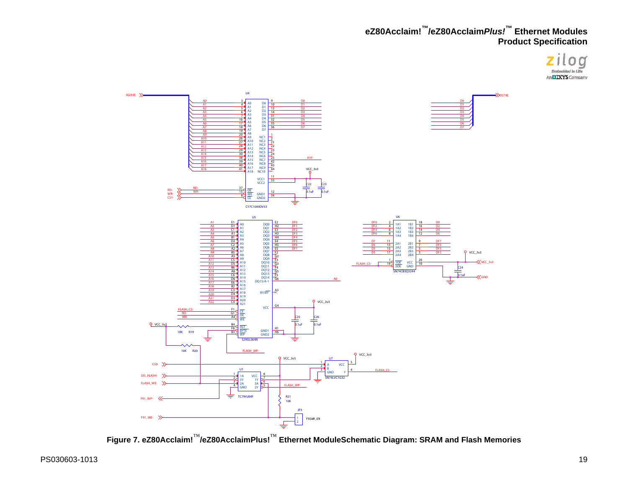



<span id="page-24-0"></span>**Figure 7. eZ80Acclaim!**™**/eZ80AcclaimPlus!**™ **Ethernet ModuleSchematic Diagram: SRAM and Flash Memories**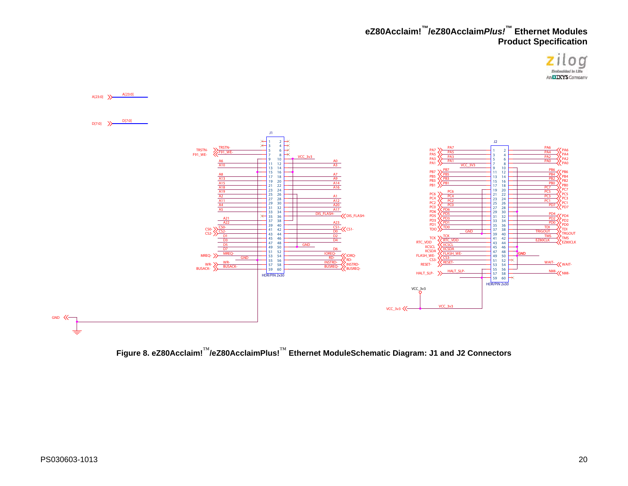



<span id="page-25-0"></span>**Figure 8. eZ80Acclaim!**™**/eZ80AcclaimPlus!**™ **Ethernet ModuleSchematic Diagram: J1 and J2 Connectors**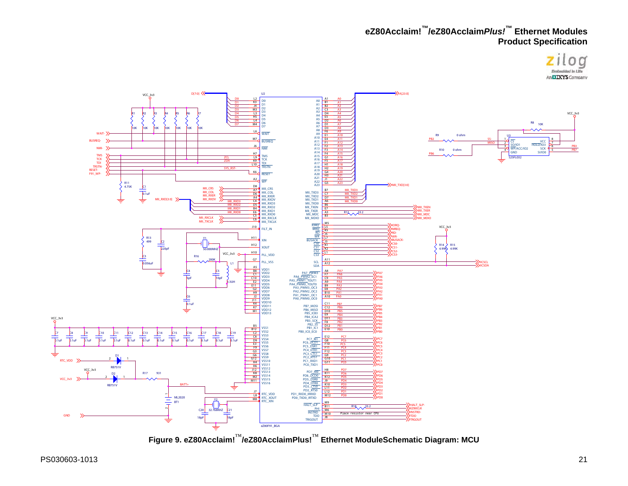



<span id="page-26-0"></span>**Figure 9. eZ80Acclaim!** ™**/eZ80AcclaimPlus!** ™ **Ethernet ModuleSchematic Diagram: MCU**